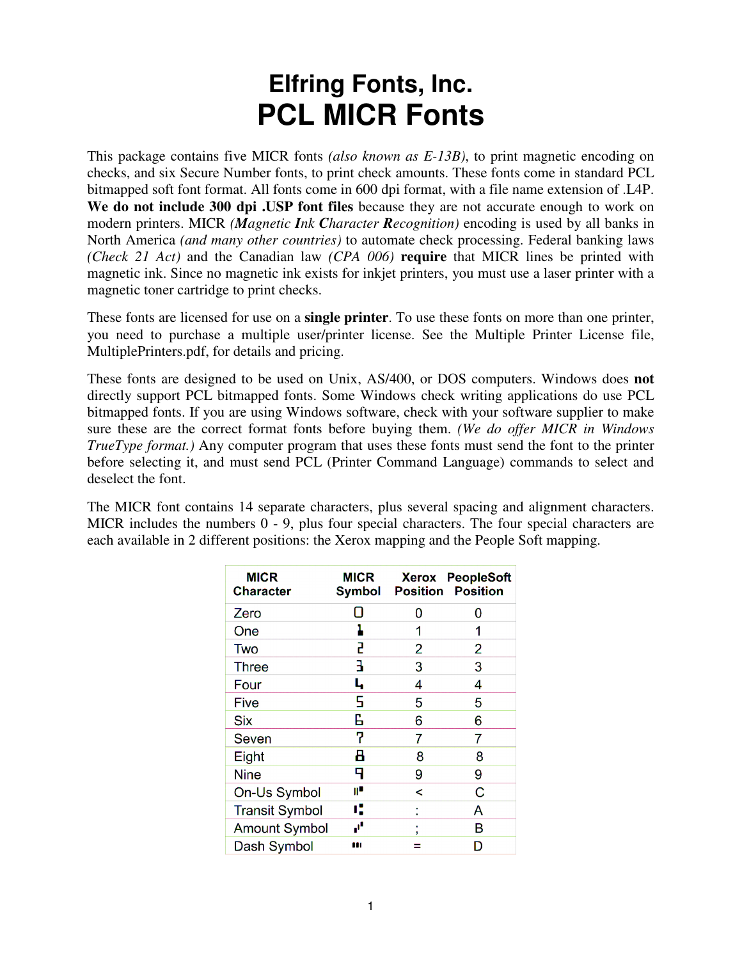## **Elfring Fonts, Inc. PCL MICR Fonts**

This package contains five MICR fonts *(also known as E-13B)*, to print magnetic encoding on checks, and six Secure Number fonts, to print check amounts. These fonts come in standard PCL bitmapped soft font format. All fonts come in 600 dpi format, with a file name extension of .L4P. **We do not include 300 dpi .USP font files** because they are not accurate enough to work on modern printers. MICR *(Magnetic Ink Character Recognition)* encoding is used by all banks in North America *(and many other countries)* to automate check processing. Federal banking laws *(Check 21 Act)* and the Canadian law *(CPA 006)* **require** that MICR lines be printed with magnetic ink. Since no magnetic ink exists for inkjet printers, you must use a laser printer with a magnetic toner cartridge to print checks.

These fonts are licensed for use on a **single printer**. To use these fonts on more than one printer, you need to purchase a multiple user/printer license. See the Multiple Printer License file, MultiplePrinters.pdf, for details and pricing.

These fonts are designed to be used on Unix, AS/400, or DOS computers. Windows does **not** directly support PCL bitmapped fonts. Some Windows check writing applications do use PCL bitmapped fonts. If you are using Windows software, check with your software supplier to make sure these are the correct format fonts before buying them. *(We do offer MICR in Windows TrueType format.)* Any computer program that uses these fonts must send the font to the printer before selecting it, and must send PCL (Printer Command Language) commands to select and deselect the font.

The MICR font contains 14 separate characters, plus several spacing and alignment characters. MICR includes the numbers 0 - 9, plus four special characters. The four special characters are each available in 2 different positions: the Xerox mapping and the People Soft mapping.

| <b>MICR</b><br><b>Character</b> | MICR<br>Symbol |   | <b>Xerox PeopleSoft</b><br><b>Position Position</b> |
|---------------------------------|----------------|---|-----------------------------------------------------|
| Zero                            |                | O | O                                                   |
| One                             |                | 1 | 1                                                   |
| Two                             | 2              | 2 | 2                                                   |
| <b>Three</b>                    | 3              | 3 | 3                                                   |
| Four                            | L,             | 4 | 4                                                   |
| <b>Five</b>                     | 5              | 5 | 5                                                   |
| <b>Six</b>                      | G              | 6 | 6                                                   |
| Seven                           | 7              | 7 | 7                                                   |
| Eight                           | 8              | 8 | 8                                                   |
| <b>Nine</b>                     | 9              | 9 | 9                                                   |
| On-Us Symbol                    | ı۱             | < | С                                                   |
| <b>Transit Symbol</b>           | ĸ              |   | A                                                   |
| <b>Amount Symbol</b>            | ď              |   | в                                                   |
| Dash Symbol                     | ш              |   |                                                     |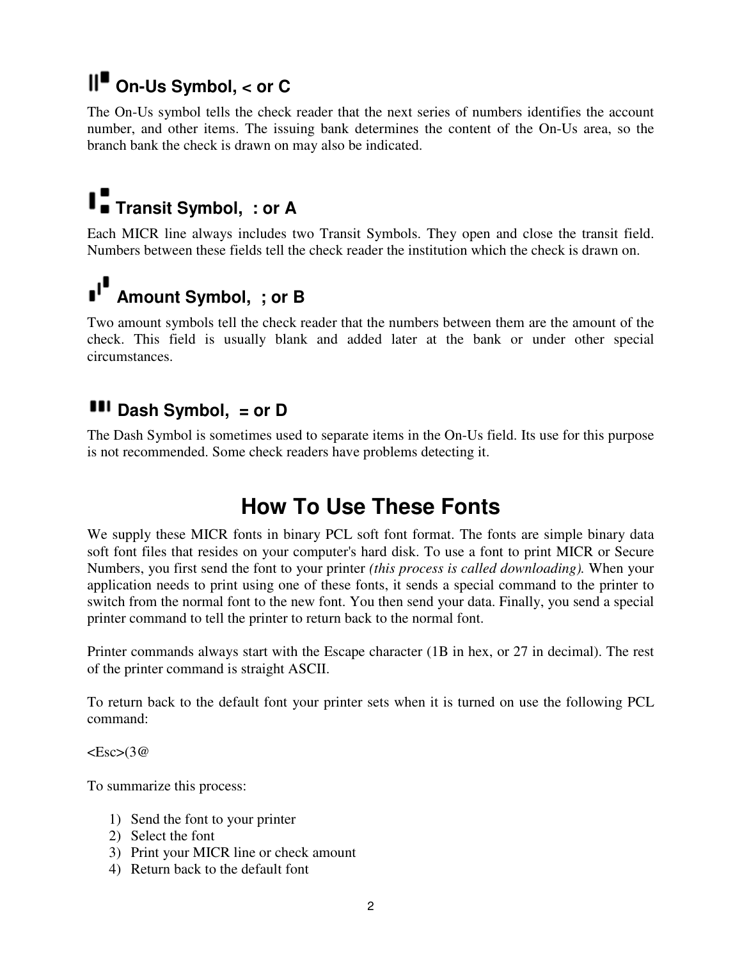## **On-Us Symbol, < or C**

The On-Us symbol tells the check reader that the next series of numbers identifies the account number, and other items. The issuing bank determines the content of the On-Us area, so the branch bank the check is drawn on may also be indicated.

# **Transit Symbol, : or A**

Each MICR line always includes two Transit Symbols. They open and close the transit field. Numbers between these fields tell the check reader the institution which the check is drawn on.

# **Amount Symbol, ; or B**

Two amount symbols tell the check reader that the numbers between them are the amount of the check. This field is usually blank and added later at the bank or under other special circumstances.

## **III** Dash Symbol, = or D

The Dash Symbol is sometimes used to separate items in the On-Us field. Its use for this purpose is not recommended. Some check readers have problems detecting it.

## **How To Use These Fonts**

We supply these MICR fonts in binary PCL soft font format. The fonts are simple binary data soft font files that resides on your computer's hard disk. To use a font to print MICR or Secure Numbers, you first send the font to your printer *(this process is called downloading).* When your application needs to print using one of these fonts, it sends a special command to the printer to switch from the normal font to the new font. You then send your data. Finally, you send a special printer command to tell the printer to return back to the normal font.

Printer commands always start with the Escape character (1B in hex, or 27 in decimal). The rest of the printer command is straight ASCII.

To return back to the default font your printer sets when it is turned on use the following PCL command:

 $<\text{Esc}>$ (3@

To summarize this process:

- 1) Send the font to your printer
- 2) Select the font
- 3) Print your MICR line or check amount
- 4) Return back to the default font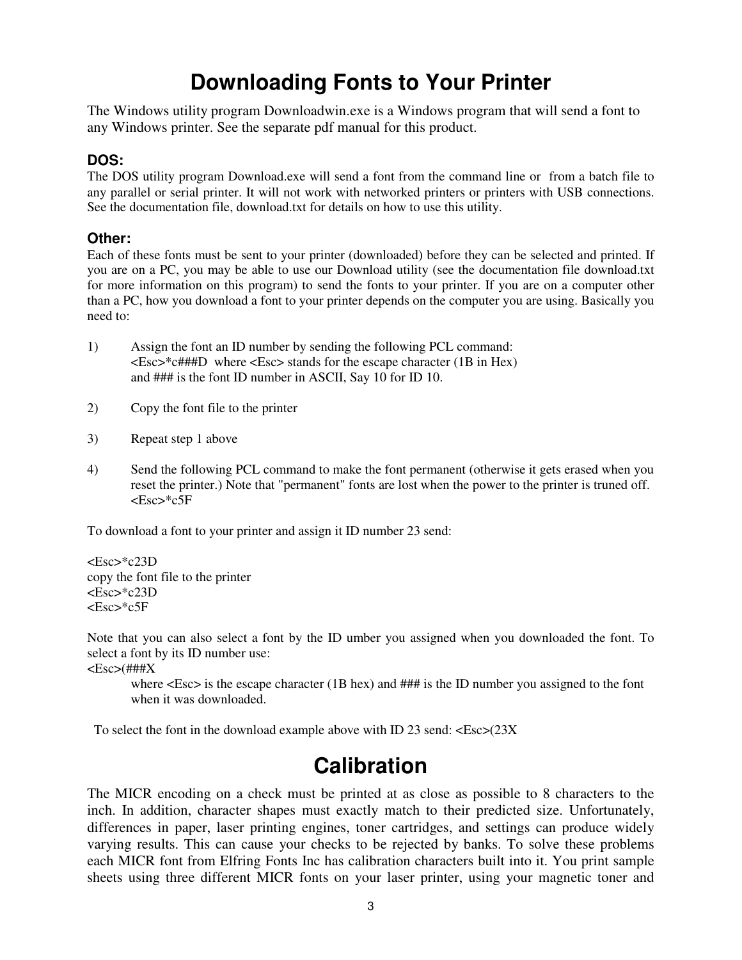## **Downloading Fonts to Your Printer**

The Windows utility program Downloadwin.exe is a Windows program that will send a font to any Windows printer. See the separate pdf manual for this product.

#### **DOS:**

The DOS utility program Download.exe will send a font from the command line or from a batch file to any parallel or serial printer. It will not work with networked printers or printers with USB connections. See the documentation file, download.txt for details on how to use this utility.

#### **Other:**

Each of these fonts must be sent to your printer (downloaded) before they can be selected and printed. If you are on a PC, you may be able to use our Download utility (see the documentation file download.txt for more information on this program) to send the fonts to your printer. If you are on a computer other than a PC, how you download a font to your printer depends on the computer you are using. Basically you need to:

- 1) Assign the font an ID number by sending the following PCL command: <Esc>\*c###D where <Esc> stands for the escape character (1B in Hex) and ### is the font ID number in ASCII, Say 10 for ID 10.
- 2) Copy the font file to the printer
- 3) Repeat step 1 above
- 4) Send the following PCL command to make the font permanent (otherwise it gets erased when you reset the printer.) Note that "permanent" fonts are lost when the power to the printer is truned off. <Esc>\*c5F

To download a font to your printer and assign it ID number 23 send:

<Esc>\*c23D copy the font file to the printer <Esc>\*c23D <Esc>\*c5F

Note that you can also select a font by the ID umber you assigned when you downloaded the font. To select a font by its ID number use:

 $<\geq$ Esc $>$ (###X

where  $\langle$ Esc $>$  is the escape character (1B hex) and ### is the ID number you assigned to the font when it was downloaded.

To select the font in the download example above with ID 23 send:  $\langle$ Esc $>$ (23X)

## **Calibration**

The MICR encoding on a check must be printed at as close as possible to 8 characters to the inch. In addition, character shapes must exactly match to their predicted size. Unfortunately, differences in paper, laser printing engines, toner cartridges, and settings can produce widely varying results. This can cause your checks to be rejected by banks. To solve these problems each MICR font from Elfring Fonts Inc has calibration characters built into it. You print sample sheets using three different MICR fonts on your laser printer, using your magnetic toner and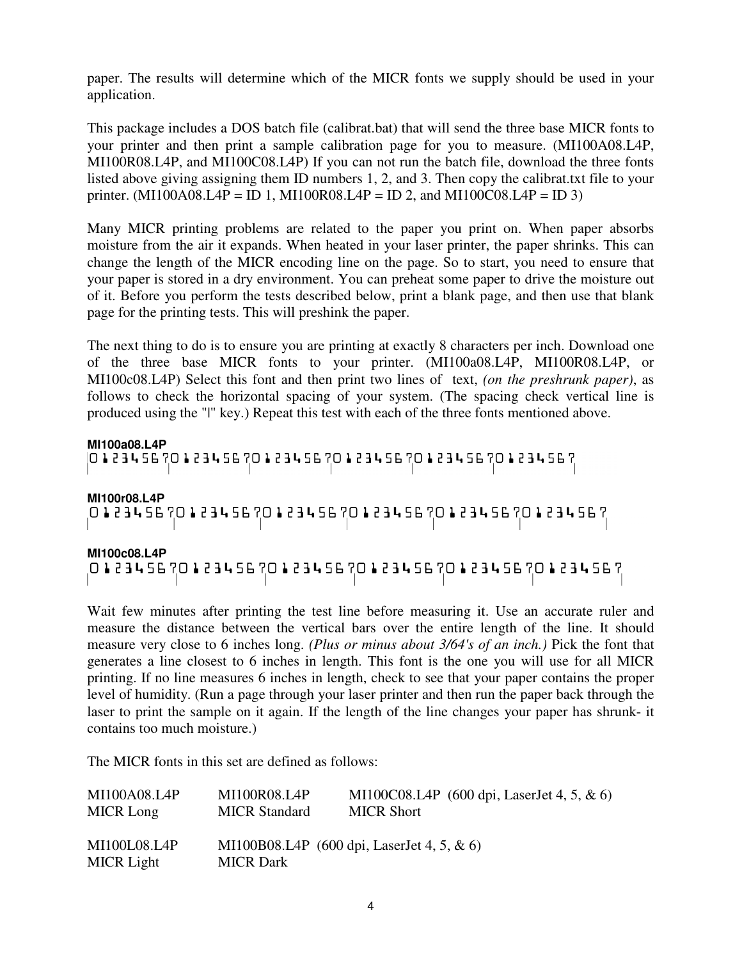paper. The results will determine which of the MICR fonts we supply should be used in your application.

This package includes a DOS batch file (calibrat.bat) that will send the three base MICR fonts to your printer and then print a sample calibration page for you to measure. (MI100A08.L4P, MI100R08.L4P, and MI100C08.L4P) If you can not run the batch file, download the three fonts listed above giving assigning them ID numbers 1, 2, and 3. Then copy the calibrat.txt file to your printer. (MI100A08.L4P = ID 1, MI100R08.L4P = ID 2, and MI100C08.L4P = ID 3)

Many MICR printing problems are related to the paper you print on. When paper absorbs moisture from the air it expands. When heated in your laser printer, the paper shrinks. This can change the length of the MICR encoding line on the page. So to start, you need to ensure that your paper is stored in a dry environment. You can preheat some paper to drive the moisture out of it. Before you perform the tests described below, print a blank page, and then use that blank page for the printing tests. This will preshink the paper.

The next thing to do is to ensure you are printing at exactly 8 characters per inch. Download one of the three base MICR fonts to your printer. (MI100a08.L4P, MI100R08.L4P, or MI100c08.L4P) Select this font and then print two lines of text, *(on the preshrunk paper)*, as follows to check the horizontal spacing of your system. (The spacing check vertical line is produced using the "|" key.) Repeat this test with each of the three fonts mentioned above.

**MI100a08.L4P** 

**MI100r08.L4P** 

01234567012345670123456701234567012345670123456

**MI100c08.L4P** 

Wait few minutes after printing the test line before measuring it. Use an accurate ruler and measure the distance between the vertical bars over the entire length of the line. It should measure very close to 6 inches long. *(Plus or minus about 3/64's of an inch.)* Pick the font that generates a line closest to 6 inches in length. This font is the one you will use for all MICR printing. If no line measures 6 inches in length, check to see that your paper contains the proper level of humidity. (Run a page through your laser printer and then run the paper back through the laser to print the sample on it again. If the length of the line changes your paper has shrunk- it contains too much moisture.)

The MICR fonts in this set are defined as follows:

| MI100A08.L4P               | MI100R08.L4P         | MI100C08.L4P $(600 \text{ dpi}, \text{LaserJet } 4, 5, \& 6)$ |
|----------------------------|----------------------|---------------------------------------------------------------|
| MICR Long                  | <b>MICR Standard</b> | <b>MICR Short</b>                                             |
| MI100L08.L4P<br>MICR Light | <b>MICR</b> Dark     | MI100B08.L4P $(600 \text{ dpi}, \text{LaserJet } 4, 5, \& 6)$ |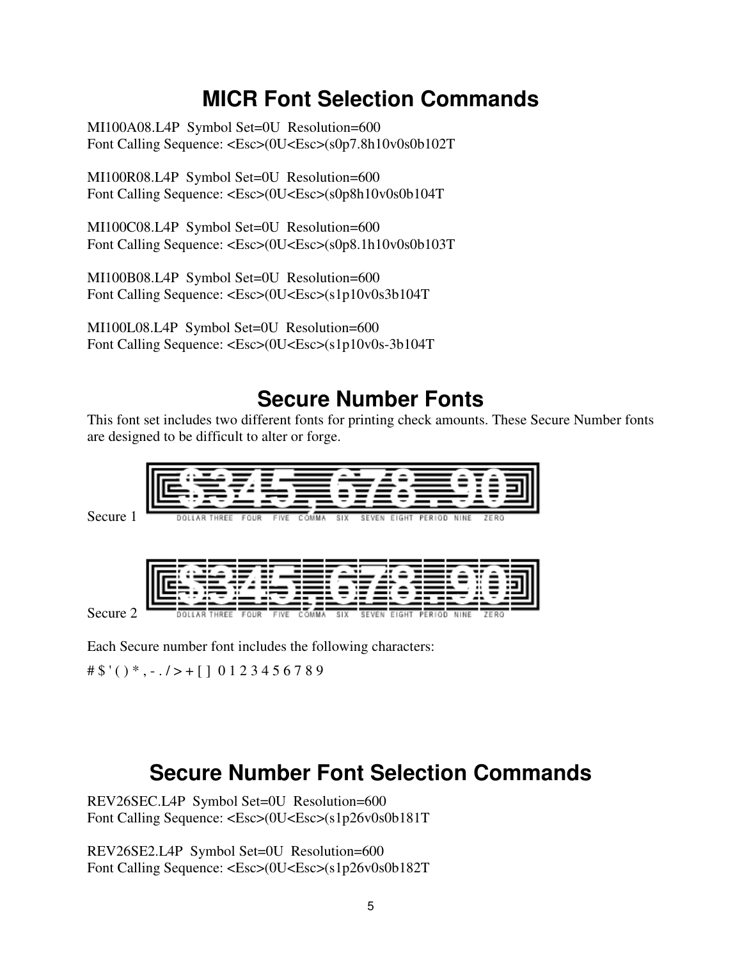## **MICR Font Selection Commands**

MI100A08.L4P Symbol Set=0U Resolution=600 Font Calling Sequence: <Esc>(0U<Esc>(s0p7.8h10v0s0b102T

MI100R08.L4P Symbol Set=0U Resolution=600 Font Calling Sequence: <Esc>(0U<Esc>(s0p8h10v0s0b104T

MI100C08.L4P Symbol Set=0U Resolution=600 Font Calling Sequence: <Esc>(0U<Esc>(s0p8.1h10v0s0b103T

MI100B08.L4P Symbol Set=0U Resolution=600 Font Calling Sequence: <Esc>(0U<Esc>(s1p10v0s3b104T

MI100L08.L4P Symbol Set=0U Resolution=600 Font Calling Sequence: <Esc>(0U<Esc>(s1p10v0s-3b104T

## **Secure Number Fonts**

This font set includes two different fonts for printing check amounts. These Secure Number fonts are designed to be difficult to alter or forge.



SD.

Secure 2

Each Secure number font includes the following characters:

 $\# \$  '( ) \*, - ./ > + [] 0 1 2 3 4 5 6 7 8 9

**DOLLAR THREE** 

## **Secure Number Font Selection Commands**

REV26SEC.L4P Symbol Set=0U Resolution=600 Font Calling Sequence: <Esc>(0U<Esc>(s1p26v0s0b181T

REV26SE2.L4P Symbol Set=0U Resolution=600 Font Calling Sequence: <Esc>(0U<Esc>(s1p26v0s0b182T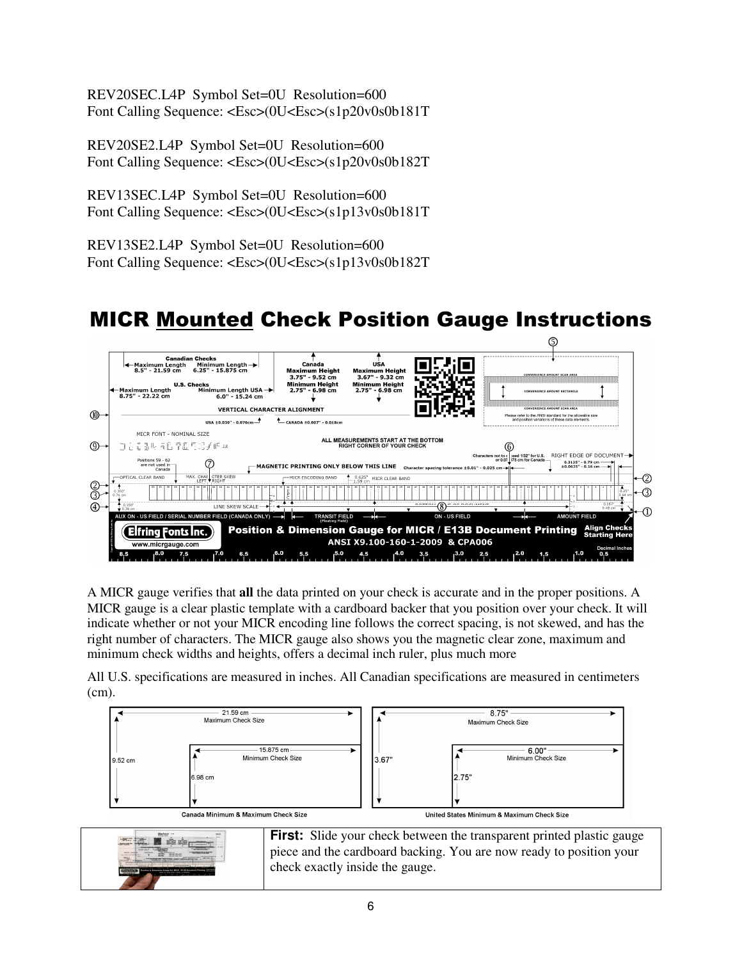REV20SEC.L4P Symbol Set=0U Resolution=600 Font Calling Sequence: <Esc>(0U<Esc>(s1p20v0s0b181T

REV20SE2.L4P Symbol Set=0U Resolution=600 Font Calling Sequence: <Esc>(0U<Esc>(s1p20v0s0b182T

REV13SEC.L4P Symbol Set=0U Resolution=600 Font Calling Sequence: <Esc>(0U<Esc>(s1p13v0s0b181T

REV13SE2.L4P Symbol Set=0U Resolution=600 Font Calling Sequence: <Esc>(0U<Esc>(s1p13v0s0b182T

## MICR Mounted Check Position Gauge Instructions



A MICR gauge verifies that **all** the data printed on your check is accurate and in the proper positions. A MICR gauge is a clear plastic template with a cardboard backer that you position over your check. It will indicate whether or not your MICR encoding line follows the correct spacing, is not skewed, and has the right number of characters. The MICR gauge also shows you the magnetic clear zone, maximum and minimum check widths and heights, offers a decimal inch ruler, plus much more

All U.S. specifications are measured in inches. All Canadian specifications are measured in centimeters (cm).

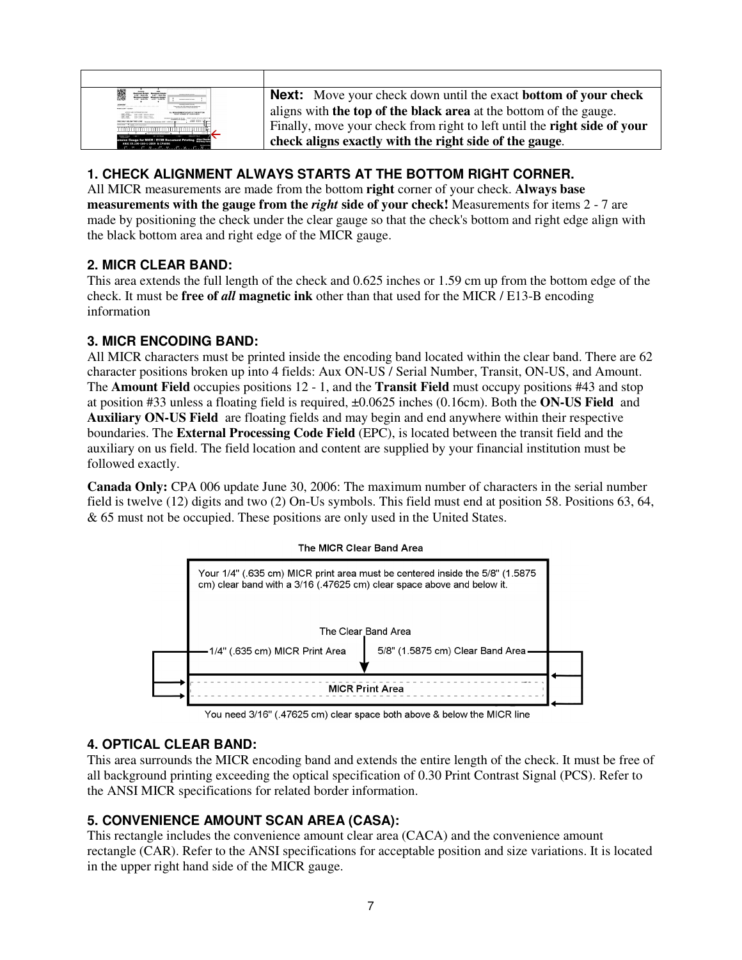| Maximum Holght Maximum Holght<br>3.72" - 9.52 cm 3.47" - 9.32 cm<br><b>PERMIT ARON AVAILABLE</b><br><b><i><u>International contract and most of</u></i></b> | <b>Next:</b> Move your check down until the exact <b>bottom</b> of your check   |
|-------------------------------------------------------------------------------------------------------------------------------------------------------------|---------------------------------------------------------------------------------|
| <b>CONTRACTOR COMPANY</b>                                                                                                                                   | aligns with <b>the top of the black area</b> at the bottom of the gauge.        |
|                                                                                                                                                             | Finally, move your check from right to left until the <b>right side of your</b> |
| Gauge for MICR / E13B Document Printing Also Checks<br>ANSI X9.100-160-1-2009 & CRAOOS<br>$A^{0}$ 45.190-100-1-2009 & CPA009                                | check aligns exactly with the right side of the gauge.                          |

## **1. CHECK ALIGNMENT ALWAYS STARTS AT THE BOTTOM RIGHT CORNER.**

All MICR measurements are made from the bottom **right** corner of your check. **Always base measurements with the gauge from the** *right* **side of your check!** Measurements for items 2 - 7 are made by positioning the check under the clear gauge so that the check's bottom and right edge align with the black bottom area and right edge of the MICR gauge.

#### **2. MICR CLEAR BAND:**

This area extends the full length of the check and 0.625 inches or 1.59 cm up from the bottom edge of the check. It must be **free of** *all* **magnetic ink** other than that used for the MICR / E13-B encoding information

### **3. MICR ENCODING BAND:**

All MICR characters must be printed inside the encoding band located within the clear band. There are 62 character positions broken up into 4 fields: Aux ON-US / Serial Number, Transit, ON-US, and Amount. The **Amount Field** occupies positions 12 - 1, and the **Transit Field** must occupy positions #43 and stop at position #33 unless a floating field is required, ±0.0625 inches (0.16cm). Both the **ON-US Field** and **Auxiliary ON-US Field** are floating fields and may begin and end anywhere within their respective boundaries. The **External Processing Code Field** (EPC), is located between the transit field and the auxiliary on us field. The field location and content are supplied by your financial institution must be followed exactly.

**Canada Only:** CPA 006 update June 30, 2006: The maximum number of characters in the serial number field is twelve (12) digits and two (2) On-Us symbols. This field must end at position 58. Positions 63, 64, & 65 must not be occupied. These positions are only used in the United States.



You need 3/16" (.47625 cm) clear space both above & below the MICR line

### **4. OPTICAL CLEAR BAND:**

This area surrounds the MICR encoding band and extends the entire length of the check. It must be free of all background printing exceeding the optical specification of 0.30 Print Contrast Signal (PCS). Refer to the ANSI MICR specifications for related border information.

### **5. CONVENIENCE AMOUNT SCAN AREA (CASA):**

This rectangle includes the convenience amount clear area (CACA) and the convenience amount rectangle (CAR). Refer to the ANSI specifications for acceptable position and size variations. It is located in the upper right hand side of the MICR gauge.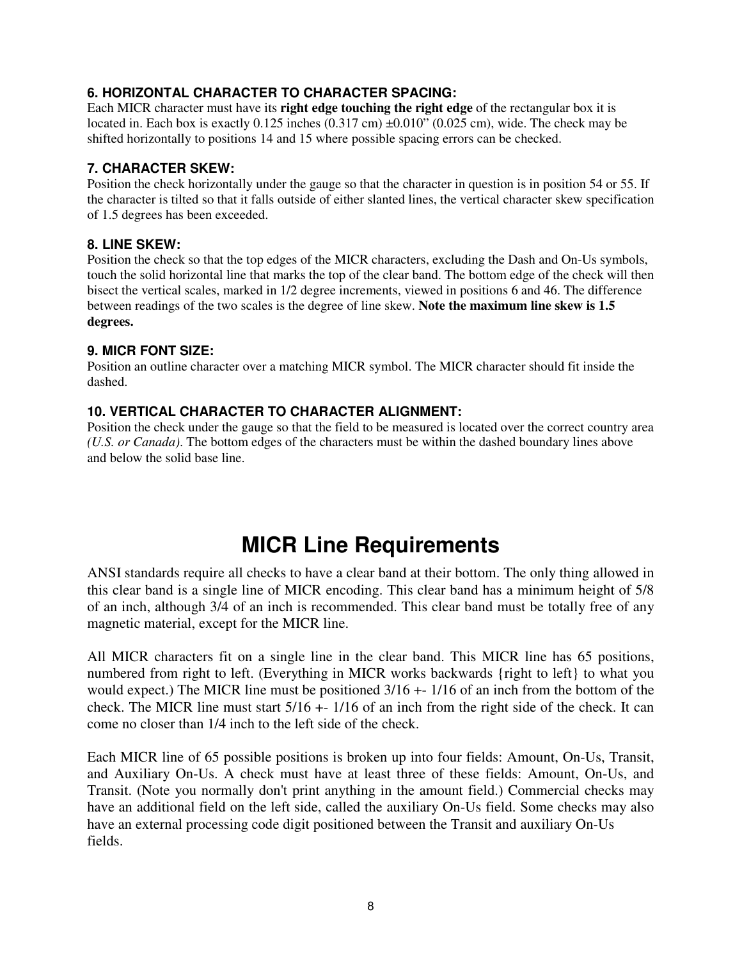## **6. HORIZONTAL CHARACTER TO CHARACTER SPACING:**

Each MICR character must have its **right edge touching the right edge** of the rectangular box it is located in. Each box is exactly 0.125 inches (0.317 cm) ±0.010" (0.025 cm), wide. The check may be shifted horizontally to positions 14 and 15 where possible spacing errors can be checked.

#### **7. CHARACTER SKEW:**

Position the check horizontally under the gauge so that the character in question is in position 54 or 55. If the character is tilted so that it falls outside of either slanted lines, the vertical character skew specification of 1.5 degrees has been exceeded.

#### **8. LINE SKEW:**

Position the check so that the top edges of the MICR characters, excluding the Dash and On-Us symbols, touch the solid horizontal line that marks the top of the clear band. The bottom edge of the check will then bisect the vertical scales, marked in 1/2 degree increments, viewed in positions 6 and 46. The difference between readings of the two scales is the degree of line skew. **Note the maximum line skew is 1.5 degrees.**

#### **9. MICR FONT SIZE:**

Position an outline character over a matching MICR symbol. The MICR character should fit inside the dashed.

### **10. VERTICAL CHARACTER TO CHARACTER ALIGNMENT:**

Position the check under the gauge so that the field to be measured is located over the correct country area *(U.S. or Canada)*. The bottom edges of the characters must be within the dashed boundary lines above and below the solid base line.

## **MICR Line Requirements**

ANSI standards require all checks to have a clear band at their bottom. The only thing allowed in this clear band is a single line of MICR encoding. This clear band has a minimum height of 5/8 of an inch, although 3/4 of an inch is recommended. This clear band must be totally free of any magnetic material, except for the MICR line.

All MICR characters fit on a single line in the clear band. This MICR line has 65 positions, numbered from right to left. (Everything in MICR works backwards {right to left} to what you would expect.) The MICR line must be positioned 3/16 +- 1/16 of an inch from the bottom of the check. The MICR line must start 5/16 +- 1/16 of an inch from the right side of the check. It can come no closer than 1/4 inch to the left side of the check.

Each MICR line of 65 possible positions is broken up into four fields: Amount, On-Us, Transit, and Auxiliary On-Us. A check must have at least three of these fields: Amount, On-Us, and Transit. (Note you normally don't print anything in the amount field.) Commercial checks may have an additional field on the left side, called the auxiliary On-Us field. Some checks may also have an external processing code digit positioned between the Transit and auxiliary On-Us fields.